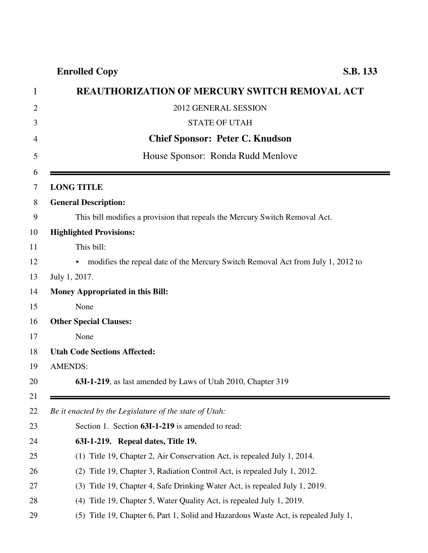## **Enrolled Copy S.B. 133**

| <b>REAUTHORIZATION OF MERCURY SWITCH REMOVAL ACT</b>                                 |
|--------------------------------------------------------------------------------------|
| 2012 GENERAL SESSION                                                                 |
| <b>STATE OF UTAH</b>                                                                 |
| <b>Chief Sponsor: Peter C. Knudson</b>                                               |
| House Sponsor: Ronda Rudd Menlove                                                    |
|                                                                                      |
| <b>LONG TITLE</b>                                                                    |
| <b>General Description:</b>                                                          |
| This bill modifies a provision that repeals the Mercury Switch Removal Act.          |
| <b>Highlighted Provisions:</b>                                                       |
| This bill:                                                                           |
| modifies the repeal date of the Mercury Switch Removal Act from July 1, 2012 to<br>► |
| July 1, 2017.                                                                        |
| <b>Money Appropriated in this Bill:</b>                                              |
| None                                                                                 |
| <b>Other Special Clauses:</b>                                                        |
| None                                                                                 |
| <b>Utah Code Sections Affected:</b>                                                  |
| <b>AMENDS:</b>                                                                       |
| 63I-1-219, as last amended by Laws of Utah 2010, Chapter 319                         |
|                                                                                      |
| Be it enacted by the Legislature of the state of Utah:                               |
| Section 1. Section 63I-1-219 is amended to read:                                     |
| 63I-1-219. Repeal dates, Title 19.                                                   |
| Title 19, Chapter 2, Air Conservation Act, is repealed July 1, 2014.<br>(1)          |
| Title 19, Chapter 3, Radiation Control Act, is repealed July 1, 2012.<br>(2)         |
| Title 19, Chapter 4, Safe Drinking Water Act, is repealed July 1, 2019.<br>(3)       |
| Title 19, Chapter 5, Water Quality Act, is repealed July 1, 2019.<br>(4)             |
| (5) Title 19, Chapter 6, Part 1, Solid and Hazardous Waste Act, is repealed July 1,  |